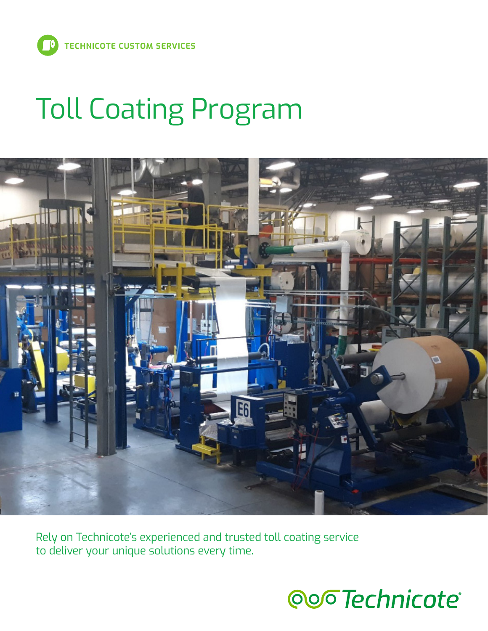# Toll Coating Program



Rely on Technicote's experienced and trusted toll coating service to deliver your unique solutions every time.

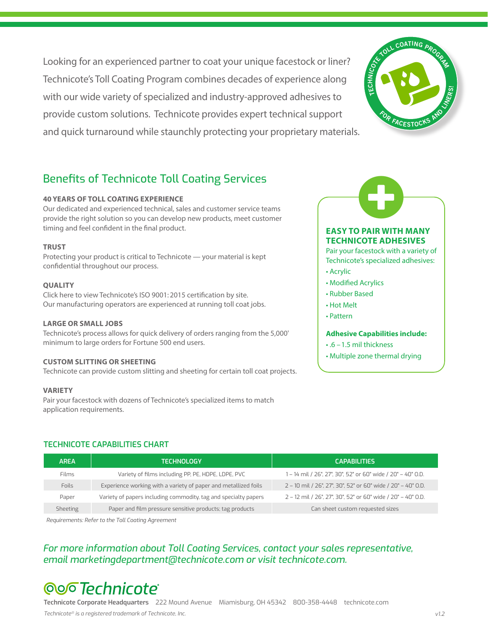Looking for an experienced partner to coat your unique facestock or liner? Technicote's Toll Coating Program combines decades of experience along with our wide variety of specialized and industry-approved adhesives to provide custom solutions. Technicote provides expert technical support and quick turnaround while staunchly protecting your proprietary materials.



# Benefits of Technicote Toll Coating Services

#### **40 YEARS OF TOLL COATING EXPERIENCE**

Our dedicated and experienced technical, sales and customer service teams provide the right solution so you can develop new products, meet customer timing and feel confident in the final product.

#### **TRUST**

Protecting your product is critical to Technicote — your material is kept confidential throughout our process.

#### **QUALITY**

[Click here to view Technicote's ISO 9001: 2015 certification by site.](https://www.technicote.com/services/iso-9001-2015-certification/)  Our manufacturing operators are experienced at running toll coat jobs.

#### **LARGE OR SMALL JOBS**

Technicote's process allows for quick delivery of orders ranging from the 5,000' minimum to large orders for Fortune 500 end users.

#### **CUSTOM SLITTING OR SHEETING**

Technicote can provide custom slitting and sheeting for certain toll coat projects.

#### **VARIETY**

Pair your facestock with dozens of Technicote's specialized items to match application requirements.



#### **EASY TO PAIR WITH MANY TECHNICOTE ADHESIVES**

Pair your facestock with a variety of Technicote's specialized adhesives:

- Acrylic
- Modified Acrylics
- Rubber Based
- Hot Melt
- Pattern

#### **Adhesive Capabilities include:**

- .6 1.5 mil thickness
- Multiple zone thermal drying

### **TECHNICOTE CAPABILITIES CHART**

| <b>AREA</b>     | <b>TECHNOLOGY</b>                                               | <b>CAPABILITIES</b>                                          |
|-----------------|-----------------------------------------------------------------|--------------------------------------------------------------|
| Films           | Variety of films including PP, PE, HDPE, LDPE, PVC              | 1 - 14 mil / 26", 27", 30", 52" or 60" wide / 20" - 40" O.D. |
| <b>Foils</b>    | Experience working with a variety of paper and metallized foils | 2 - 10 mil / 26", 27", 30", 52" or 60" wide / 20" - 40" O.D. |
| Paper           | Variety of papers including commodity, tag and specialty papers | 2 - 12 mil / 26", 27", 30", 52" or 60" wide / 20" - 40" O.D. |
| <b>Sheeting</b> | Paper and film pressure sensitive products; tag products        | Can sheet custom requested sizes                             |

*Requirements: Refer to the Toll Coating Agreement*

## *For more information about Toll Coating Services, contact your sales representative, email marketingdepartment@technicote.com or visit technicote.com.*

# **Qoo Technicote**

**Technicote Corporate Headquarters** 222 Mound Avenue Miamisburg, OH 45342 800-358-4448 technicote.com *Technicote® is a registered trademark of Technicote, Inc. v1.2*